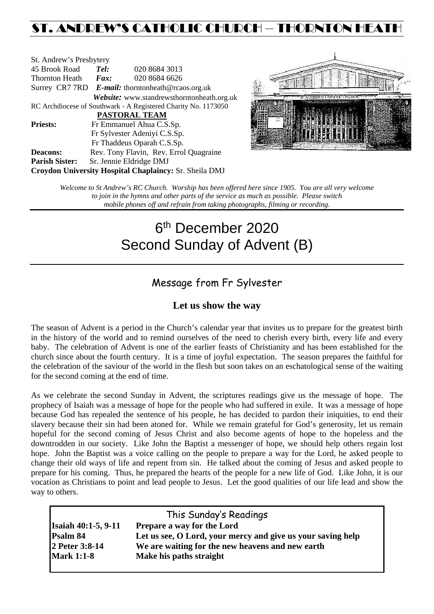## ST. ANDREW'S CATHOLIC CHURCH – THORNTON HEAT

| St. Andrew's Presbytery                                        |                                                   |                                            |  |  |  |
|----------------------------------------------------------------|---------------------------------------------------|--------------------------------------------|--|--|--|
| 45 Brook Road                                                  | Tel:<br>020 8684 3013                             |                                            |  |  |  |
| <b>Thornton Heath</b>                                          | $\boldsymbol{Fax:}$                               | 020 8684 6626                              |  |  |  |
|                                                                | Surrey CR7 7RD E-mail: thorntonheath@rcaos.org.uk |                                            |  |  |  |
|                                                                |                                                   | Website: www.standrewsthorntonheath.org.uk |  |  |  |
| RC Archdiocese of Southwark - A Registered Charity No. 1173050 |                                                   |                                            |  |  |  |
| <b>PASTORAL TEAM</b>                                           |                                                   |                                            |  |  |  |
| <b>Priests:</b>                                                | Fr Emmanuel Ahua C.S.Sp.                          |                                            |  |  |  |
| Fr Sylvester Adeniyi C.S.Sp.                                   |                                                   |                                            |  |  |  |
|                                                                | Fr Thaddeus Oparah C.S.Sp.                        |                                            |  |  |  |
| <b>Deacons:</b>                                                |                                                   | Rev. Tony Flavin, Rev. Errol Quagraine     |  |  |  |
| <b>Parish Sister:</b>                                          |                                                   | Sr. Jennie Eldridge DMJ                    |  |  |  |
| Croydon University Hospital Chaplaincy: Sr. Sheila DMJ         |                                                   |                                            |  |  |  |



*Welcome to St Andrew's RC Church. Worship has been offered here since 1905. You are all very welcome to join in the hymns and other parts of the service as much as possible. Please switch mobile phones off and refrain from taking photographs, filming or recording.*

# 6th December 2020 Second Sunday of Advent (B)

## Message from Fr Sylvester

### **Let us show the way**

The season of Advent is a period in the Church's calendar year that invites us to prepare for the greatest birth in the history of the world and to remind ourselves of the need to cherish every birth, every life and every baby. The celebration of Advent is one of the earlier feasts of Christianity and has been established for the church since about the fourth century. It is a time of joyful expectation. The season prepares the faithful for the celebration of the saviour of the world in the flesh but soon takes on an eschatological sense of the waiting for the second coming at the end of time.

As we celebrate the second Sunday in Advent, the scriptures readings give us the message of hope. The prophecy of Isaiah was a message of hope for the people who had suffered in exile. It was a message of hope because God has repealed the sentence of his people, he has decided to pardon their iniquities, to end their slavery because their sin had been atoned for. While we remain grateful for God's generosity, let us remain hopeful for the second coming of Jesus Christ and also become agents of hope to the hopeless and the downtrodden in our society. Like John the Baptist a messenger of hope, we should help others regain lost hope. John the Baptist was a voice calling on the people to prepare a way for the Lord, he asked people to change their old ways of life and repent from sin. He talked about the coming of Jesus and asked people to prepare for his coming. Thus, he prepared the hearts of the people for a new life of God. Like John, it is our vocation as Christians to point and lead people to Jesus. Let the good qualities of our life lead and show the way to others.

| This Sunday's Readings                                      |  |  |  |  |  |
|-------------------------------------------------------------|--|--|--|--|--|
| <b>Prepare a way for the Lord</b>                           |  |  |  |  |  |
| Let us see, O Lord, your mercy and give us your saving help |  |  |  |  |  |
| We are waiting for the new heavens and new earth            |  |  |  |  |  |
| Make his paths straight                                     |  |  |  |  |  |
|                                                             |  |  |  |  |  |